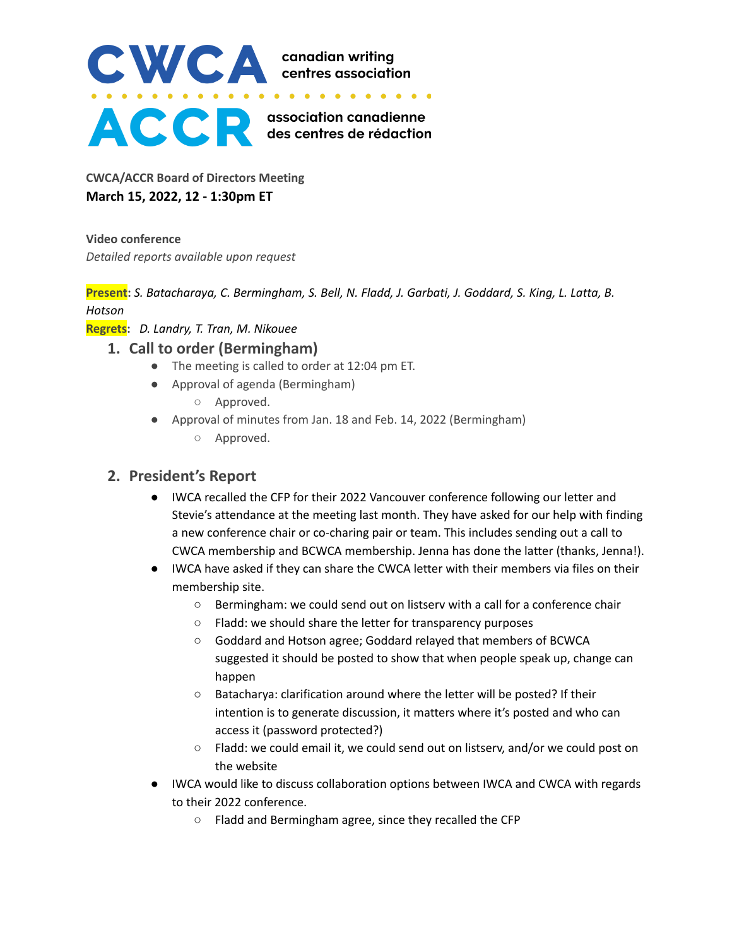

**CWCA/ACCR Board of Directors Meeting March 15, 2022, 12 - 1:30pm ET**

**Video conference** *Detailed reports available upon request*

Present: S. Batacharaya, C. Bermingham, S. Bell, N. Fladd, J. Garbati, J. Goddard, S. King, L. Latta, B. *Hotson*

**Regrets:** *D. Landry, T. Tran, M. Nikouee*

#### **1. Call to order (Bermingham)**

- The meeting is called to order at 12:04 pm ET.
- Approval of agenda (Bermingham)
	- Approved.
- Approval of minutes from Jan. 18 and Feb. 14, 2022 (Bermingham)
	- Approved.

## **2. President's Report**

- IWCA recalled the CFP for their 2022 Vancouver conference following our letter and Stevie's attendance at the meeting last month. They have asked for our help with finding a new conference chair or co-charing pair or team. This includes sending out a call to CWCA membership and BCWCA membership. Jenna has done the latter (thanks, Jenna!).
- IWCA have asked if they can share the CWCA letter with their members via files on their membership site.
	- Bermingham: we could send out on listserv with a call for a conference chair
	- Fladd: we should share the letter for transparency purposes
	- Goddard and Hotson agree; Goddard relayed that members of BCWCA suggested it should be posted to show that when people speak up, change can happen
	- Batacharya: clarification around where the letter will be posted? If their intention is to generate discussion, it matters where it's posted and who can access it (password protected?)
	- Fladd: we could email it, we could send out on listserv, and/or we could post on the website
- IWCA would like to discuss collaboration options between IWCA and CWCA with regards to their 2022 conference.
	- Fladd and Bermingham agree, since they recalled the CFP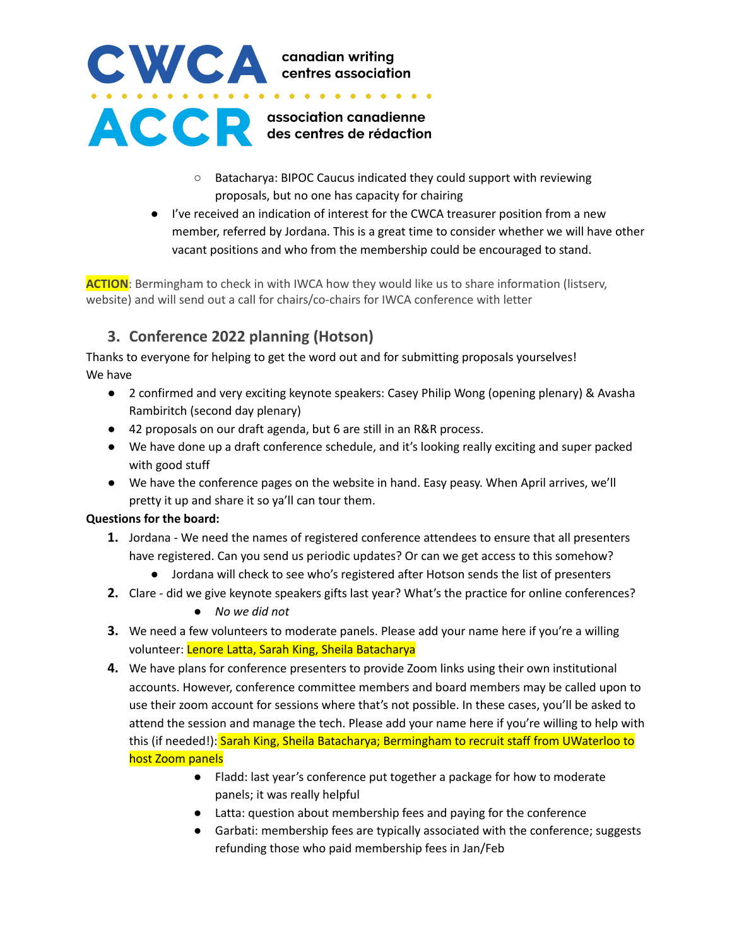

- Batacharya: BIPOC Caucus indicated they could support with reviewing proposals, but no one has capacity for chairing
- I've received an indication of interest for the CWCA treasurer position from a new member, referred by Jordana. This is a great time to consider whether we will have other vacant positions and who from the membership could be encouraged to stand.

**ACTION**: Bermingham to check in with IWCA how they would like us to share information (listserv, website) and will send out a call for chairs/co-chairs for IWCA conference with letter

## **3. Conference 2022 planning (Hotson)**

Thanks to everyone for helping to get the word out and for submitting proposals yourselves! We have

- 2 confirmed and very exciting keynote speakers: Casey Philip Wong (opening plenary) & Avasha Rambiritch (second day plenary)
- 42 proposals on our draft agenda, but 6 are still in an R&R process.
- We have done up a draft conference schedule, and it's looking really exciting and super packed with good stuff
- We have the conference pages on the website in hand. Easy peasy. When April arrives, we'll pretty it up and share it so ya'll can tour them.

#### **Questions for the board:**

- **1.** Jordana We need the names of registered conference attendees to ensure that all presenters have registered. Can you send us periodic updates? Or can we get access to this somehow?
	- Jordana will check to see who's registered after Hotson sends the list of presenters
- **2.** Clare did we give keynote speakers gifts last year? What's the practice for online conferences?
	- *● No we did not*
- **3.** We need a few volunteers to moderate panels. Please add your name here if you're a willing volunteer: Lenore Latta, Sarah King, Sheila Batacharya
- **4.** We have plans for conference presenters to provide Zoom links using their own institutional accounts. However, conference committee members and board members may be called upon to use their zoom account for sessions where that's not possible. In these cases, you'll be asked to attend the session and manage the tech. Please add your name here if you're willing to help with this (if needed!): Sarah King, Sheila Batacharya; Bermingham to recruit staff from UWaterloo to host Zoom panels
	- Fladd: last year's conference put together a package for how to moderate panels; it was really helpful
	- Latta: question about membership fees and paying for the conference
	- Garbati: membership fees are typically associated with the conference; suggests refunding those who paid membership fees in Jan/Feb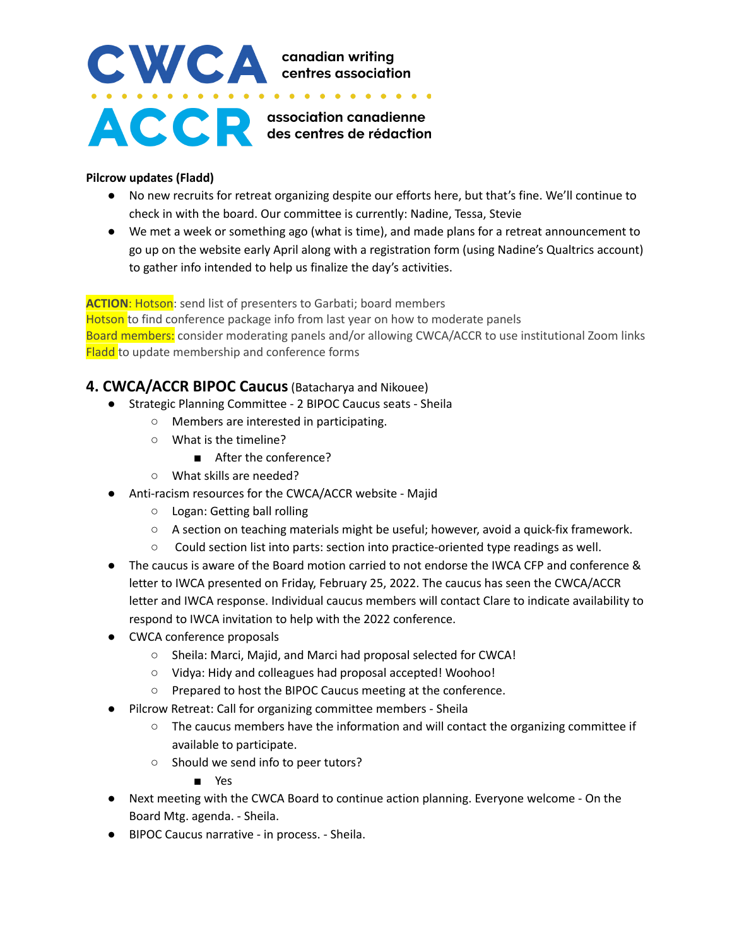# CWCA canadian writing<br>
........................ **ACCE** association canadienne

#### **Pilcrow updates (Fladd)**

- No new recruits for retreat organizing despite our efforts here, but that's fine. We'll continue to check in with the board. Our committee is currently: Nadine, Tessa, Stevie
- We met a week or something ago (what is time), and made plans for a retreat announcement to go up on the website early April along with a registration form (using Nadine's Qualtrics account) to gather info intended to help us finalize the day's activities.

**ACTION: Hotson:** send list of presenters to Garbati; board members Hotson to find conference package info from last year on how to moderate panels Board members: consider moderating panels and/or allowing CWCA/ACCR to use institutional Zoom links **Fladd** to update membership and conference forms

### **4. CWCA/ACCR BIPOC Caucus**(Batacharya and Nikouee)

- Strategic Planning Committee 2 BIPOC Caucus seats Sheila
	- Members are interested in participating.
	- What is the timeline?
		- After the conference?
	- What skills are needed?
- Anti-racism resources for the CWCA/ACCR website Majid
	- Logan: Getting ball rolling
	- A section on teaching materials might be useful; however, avoid a quick-fix framework.
	- Could section list into parts: section into practice-oriented type readings as well.
- The caucus is aware of the Board motion carried to not endorse the IWCA CFP and conference & letter to IWCA presented on Friday, February 25, 2022. The caucus has seen the CWCA/ACCR letter and IWCA response. Individual caucus members will contact Clare to indicate availability to respond to IWCA invitation to help with the 2022 conference.
- CWCA conference proposals
	- Sheila: Marci, Majid, and Marci had proposal selected for CWCA!
	- Vidya: Hidy and colleagues had proposal accepted! Woohoo!
	- Prepared to host the BIPOC Caucus meeting at the conference.
- Pilcrow Retreat: Call for organizing committee members Sheila
	- The caucus members have the information and will contact the organizing committee if available to participate.
	- Should we send info to peer tutors?
		- Yes
- Next meeting with the CWCA Board to continue action planning. Everyone welcome On the Board Mtg. agenda. - Sheila.
- BIPOC Caucus narrative in process. Sheila.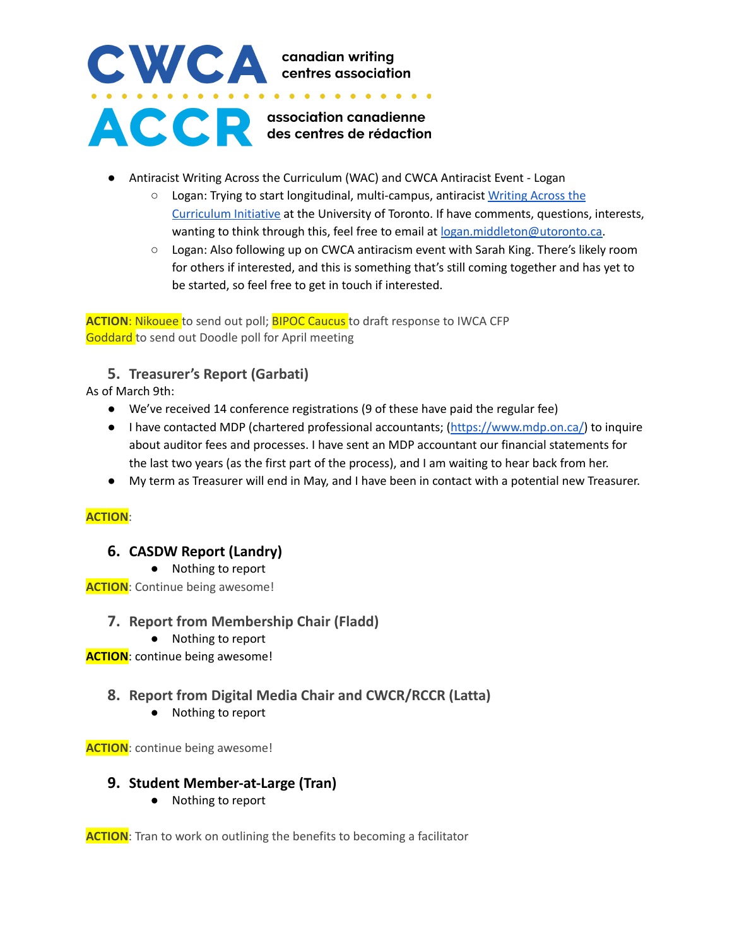

- Antiracist Writing Across the Curriculum (WAC) and CWCA Antiracist Event Logan
	- Logan: Trying to start longitudinal, multi-campus, antiracist [Writing](https://docs.google.com/document/d/1g4muX9QEWWhhn813-T9BynD6a63YGuLzmiebkvlDuHQ/edit?usp=sharing) Across the [Curriculum](https://docs.google.com/document/d/1g4muX9QEWWhhn813-T9BynD6a63YGuLzmiebkvlDuHQ/edit?usp=sharing) Initiative at the University of Toronto. If have comments, questions, interests, wanting to think through this, feel free to email at [logan.middleton@utoronto.ca.](mailto:logan.middleton@utoronto.ca)
	- Logan: Also following up on CWCA antiracism event with Sarah King. There's likely room for others if interested, and this is something that's still coming together and has yet to be started, so feel free to get in touch if interested.

**ACTION**: Nikouee to send out poll; BIPOC Caucus to draft response to IWCA CFP Goddard to send out Doodle poll for April meeting

### **5. Treasurer's Report (Garbati)**

As of March 9th:

- We've received 14 conference registrations (9 of these have paid the regular fee)
- I have contacted MDP (chartered professional accountants; [\(https://www.mdp.on.ca/\)](https://www.mdp.on.ca/) to inquire about auditor fees and processes. I have sent an MDP accountant our financial statements for the last two years (as the first part of the process), and I am waiting to hear back from her.
- My term as Treasurer will end in May, and I have been in contact with a potential new Treasurer.

#### **ACTION**:

#### **6. CASDW Report (Landry)**

*●* Nothing to report

**ACTION**: Continue being awesome!

- **7. Report from Membership Chair (Fladd)**
	- Nothing to report

**ACTION**: continue being awesome!

## **8. Report from Digital Media Chair and CWCR/RCCR (Latta)**

● Nothing to report

**ACTION**: continue being awesome!

#### **9. Student Member-at-Large (Tran)**

● Nothing to report

**ACTION**: Tran to work on outlining the benefits to becoming a facilitator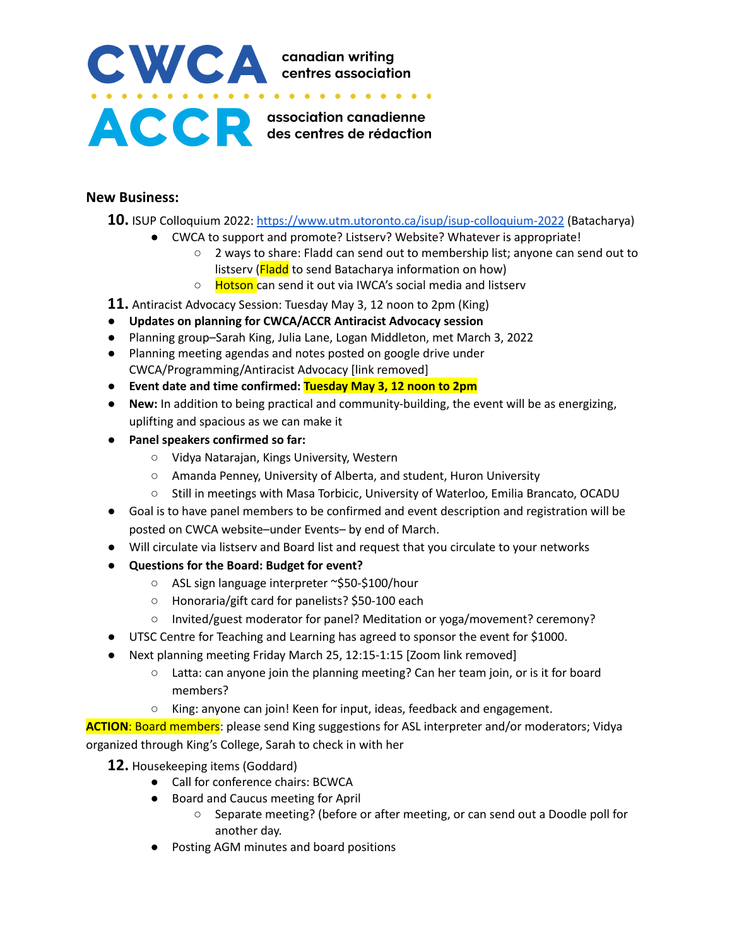

#### **New Business:**

- **10.** ISUP Colloquium 2022: <https://www.utm.utoronto.ca/isup/isup-colloquium-2022> (Batacharya)
	- CWCA to support and promote? Listserv? Website? Whatever is appropriate!
		- 2 ways to share: Fladd can send out to membership list; anyone can send out to listserv (Fladd to send Batacharya information on how)
		- Hotson can send it out via IWCA's social media and listserv
- **11.** Antiracist Advocacy Session: Tuesday May 3, 12 noon to 2pm (King)
- **● Updates on planning for CWCA/ACCR Antiracist Advocacy session**
- **●** Planning group–Sarah King, Julia Lane, Logan Middleton, met March 3, 2022
- **●** Planning meeting agendas and notes posted on google drive under CWCA/Programming/Antiracist Advocacy [link removed]
- **● Event date and time confirmed: Tuesday May 3, 12 noon to 2pm**
- **● New:** In addition to being practical and community-building, the event will be as energizing, uplifting and spacious as we can make it
- **● Panel speakers confirmed so far:**
	- **○** Vidya Natarajan, Kings University, Western
	- **○** Amanda Penney, University of Alberta, and student, Huron University
	- **○** Still in meetings with Masa Torbicic, University of Waterloo, Emilia Brancato, OCADU
- Goal is to have panel members to be confirmed and event description and registration will be posted on CWCA website–under Events– by end of March.
- Will circulate via listserv and Board list and request that you circulate to your networks
- **Questions for the Board: Budget for event?**
	- ASL sign language interpreter ~\$50-\$100/hour
	- Honoraria/gift card for panelists? \$50-100 each
	- Invited/guest moderator for panel? Meditation or yoga/movement? ceremony?
- UTSC Centre for Teaching and Learning has agreed to sponsor the event for \$1000.
- Next planning meeting Friday March 25, 12:15-1:15 [Zoom link removed]
	- Latta: can anyone join the planning meeting? Can her team join, or is it for board members?
	- King: anyone can join! Keen for input, ideas, feedback and engagement.

**ACTION**: Board members: please send King suggestions for ASL interpreter and/or moderators; Vidya organized through King's College, Sarah to check in with her

**12.** Housekeeping items (Goddard)

- Call for conference chairs: BCWCA
- Board and Caucus meeting for April
	- Separate meeting? (before or after meeting, or can send out a Doodle poll for another day.
- Posting AGM minutes and board positions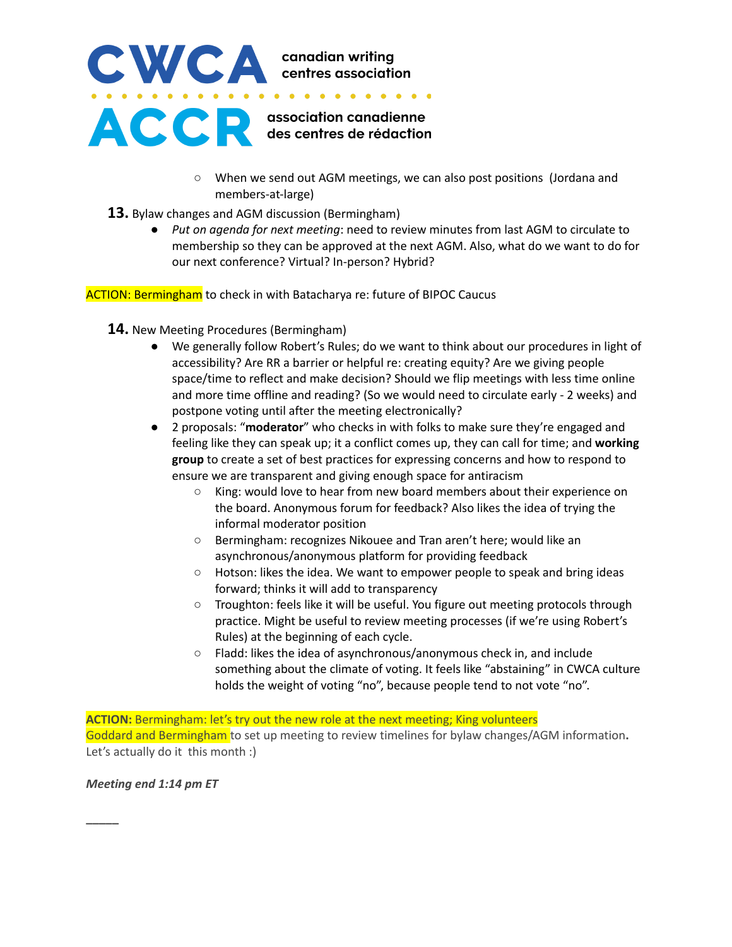

- When we send out AGM meetings, we can also post positions (Jordana and members-at-large)
- **13.** Bylaw changes and AGM discussion (Bermingham)
	- *Put on agenda for next meeting*: need to review minutes from last AGM to circulate to membership so they can be approved at the next AGM. Also, what do we want to do for our next conference? Virtual? In-person? Hybrid?

**ACTION: Bermingham** to check in with Batacharya re: future of BIPOC Caucus

- **14.** New Meeting Procedures (Bermingham)
	- We generally follow Robert's Rules; do we want to think about our procedures in light of accessibility? Are RR a barrier or helpful re: creating equity? Are we giving people space/time to reflect and make decision? Should we flip meetings with less time online and more time offline and reading? (So we would need to circulate early - 2 weeks) and postpone voting until after the meeting electronically?
	- 2 proposals: "**moderator**" who checks in with folks to make sure they're engaged and feeling like they can speak up; it a conflict comes up, they can call for time; and **working group** to create a set of best practices for expressing concerns and how to respond to ensure we are transparent and giving enough space for antiracism
		- King: would love to hear from new board members about their experience on the board. Anonymous forum for feedback? Also likes the idea of trying the informal moderator position
		- Bermingham: recognizes Nikouee and Tran aren't here; would like an asynchronous/anonymous platform for providing feedback
		- Hotson: likes the idea. We want to empower people to speak and bring ideas forward; thinks it will add to transparency
		- Troughton: feels like it will be useful. You figure out meeting protocols through practice. Might be useful to review meeting processes (if we're using Robert's Rules) at the beginning of each cycle.
		- Fladd: likes the idea of asynchronous/anonymous check in, and include something about the climate of voting. It feels like "abstaining" in CWCA culture holds the weight of voting "no", because people tend to not vote "no".

**ACTION:** Bermingham: let's try out the new role at the next meeting; King volunteers Goddard and Bermingham to set up meeting to review timelines for bylaw changes/AGM information**.** Let's actually do it this month :)

*Meeting end 1:14 pm ET*

**\_\_\_\_\_**